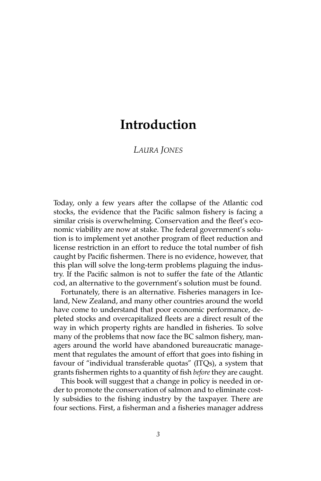# *LAURA JONES*

Today, only a few years after the collapse of the Atlantic cod stocks, the evidence that the Pacific salmon fishery is facing a similar crisis is overwhelming. Conservation and the fleet's economic viability are now at stake. The federal government's solution is to implement yet another program of fleet reduction and license restriction in an effort to reduce the total number of fish caught by Pacific fishermen. There is no evidence, however, that this plan will solve the long-term problems plaguing the industry. If the Pacific salmon is not to suffer the fate of the Atlantic cod, an alternative to the government's solution must be found.

Fortunately, there is an alternative. Fisheries managers in Iceland, New Zealand, and many other countries around the world have come to understand that poor economic performance, depleted stocks and overcapitalized fleets are a direct result of the way in which property rights are handled in fisheries. To solve many of the problems that now face the BC salmon fishery, managers around the world have abandoned bureaucratic management that regulates the amount of effort that goes into fishing in favour of "individual transferable quotas" (ITQs), a system that grants fishermen rights to a quantity of fish *before* they are caught.

This book will suggest that a change in policy is needed in order to promote the conservation of salmon and to eliminate costly subsidies to the fishing industry by the taxpayer. There are four sections. First, a fisherman and a fisheries manager address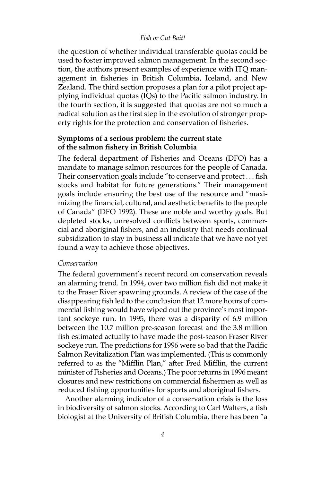the question of whether individual transferable quotas could be used to foster improved salmon management. In the second section, the authors present examples of experience with ITQ management in fisheries in British Columbia, Iceland, and New Zealand. The third section proposes a plan for a pilot project applying individual quotas (IQs) to the Pacific salmon industry. In the fourth section, it is suggested that quotas are not so much a radical solution as the first step in the evolution of stronger property rights for the protection and conservation of fisheries.

# **Symptoms of a serious problem: the current state of the salmon fishery in British Columbia**

The federal department of Fisheries and Oceans (DFO) has a mandate to manage salmon resources for the people of Canada. Their conservation goals include "to conserve and protect . . . fish stocks and habitat for future generations." Their management goals include ensuring the best use of the resource and "maximizing the financial, cultural, and aesthetic benefits to the people of Canada" (DFO 1992). These are noble and worthy goals. But depleted stocks, unresolved conflicts between sports, commercial and aboriginal fishers, and an industry that needs continual subsidization to stay in business all indicate that we have not yet found a way to achieve those objectives.

#### *Conservation*

The federal government's recent record on conservation reveals an alarming trend. In 1994, over two million fish did not make it to the Fraser River spawning grounds. A review of the case of the disappearing fish led to the conclusion that 12 more hours of commercial fishing would have wiped out the province's most important sockeye run. In 1995, there was a disparity of 6.9 million between the 10.7 million pre-season forecast and the 3.8 million fish estimated actually to have made the post-season Fraser River sockeye run. The predictions for 1996 were so bad that the Pacific Salmon Revitalization Plan was implemented. (This is commonly referred to as the "Mifflin Plan," after Fred Mifflin, the current minister of Fisheries and Oceans.) The poor returns in 1996 meant closures and new restrictions on commercial fishermen as well as reduced fishing opportunities for sports and aboriginal fishers.

Another alarming indicator of a conservation crisis is the loss in biodiversity of salmon stocks. According to Carl Walters, a fish biologist at the University of British Columbia, there has been "a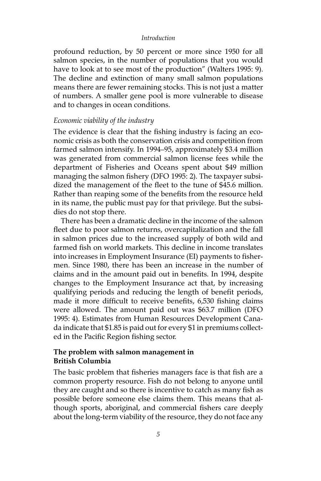profound reduction, by 50 percent or more since 1950 for all salmon species, in the number of populations that you would have to look at to see most of the production" (Walters 1995: 9). The decline and extinction of many small salmon populations means there are fewer remaining stocks. This is not just a matter of numbers. A smaller gene pool is more vulnerable to disease and to changes in ocean conditions.

# *Economic viability of the industry*

The evidence is clear that the fishing industry is facing an economic crisis as both the conservation crisis and competition from farmed salmon intensify. In 1994–95, approximately \$3.4 million was generated from commercial salmon license fees while the department of Fisheries and Oceans spent about \$49 million managing the salmon fishery (DFO 1995: 2). The taxpayer subsidized the management of the fleet to the tune of \$45.6 million. Rather than reaping some of the benefits from the resource held in its name, the public must pay for that privilege. But the subsidies do not stop there.

There has been a dramatic decline in the income of the salmon fleet due to poor salmon returns, overcapitalization and the fall in salmon prices due to the increased supply of both wild and farmed fish on world markets. This decline in income translates into increases in Employment Insurance (EI) payments to fishermen. Since 1980, there has been an increase in the number of claims and in the amount paid out in benefits. In 1994, despite changes to the Employment Insurance act that, by increasing qualifying periods and reducing the length of benefit periods, made it more difficult to receive benefits, 6,530 fishing claims were allowed. The amount paid out was \$63.7 million (DFO 1995: 4). Estimates from Human Resources Development Canada indicate that \$1.85 is paid out for every \$1 in premiums collected in the Pacific Region fishing sector.

## **The problem with salmon management in British Columbia**

The basic problem that fisheries managers face is that fish are a common property resource. Fish do not belong to anyone until they are caught and so there is incentive to catch as many fish as possible before someone else claims them. This means that although sports, aboriginal, and commercial fishers care deeply about the long-term viability of the resource, they do not face any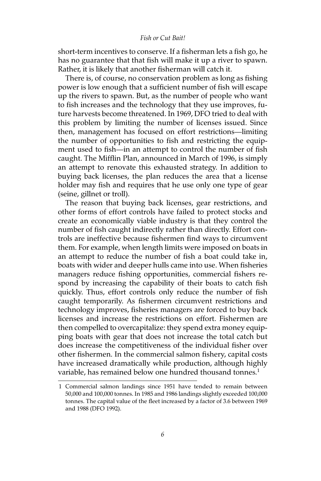short-term incentives to conserve. If a fisherman lets a fish go, he has no guarantee that that fish will make it up a river to spawn. Rather, it is likely that another fisherman will catch it.

There is, of course, no conservation problem as long as fishing power is low enough that a sufficient number of fish will escape up the rivers to spawn. But, as the number of people who want to fish increases and the technology that they use improves, future harvests become threatened. In 1969, DFO tried to deal with this problem by limiting the number of licenses issued. Since then, management has focused on effort restrictions—limiting the number of opportunities to fish and restricting the equipment used to fish—in an attempt to control the number of fish caught. The Mifflin Plan, announced in March of 1996, is simply an attempt to renovate this exhausted strategy. In addition to buying back licenses, the plan reduces the area that a license holder may fish and requires that he use only one type of gear (seine, gillnet or troll).

The reason that buying back licenses, gear restrictions, and other forms of effort controls have failed to protect stocks and create an economically viable industry is that they control the number of fish caught indirectly rather than directly. Effort controls are ineffective because fishermen find ways to circumvent them. For example, when length limits were imposed on boats in an attempt to reduce the number of fish a boat could take in, boats with wider and deeper hulls came into use. When fisheries managers reduce fishing opportunities, commercial fishers respond by increasing the capability of their boats to catch fish quickly. Thus, effort controls only reduce the number of fish caught temporarily. As fishermen circumvent restrictions and technology improves, fisheries managers are forced to buy back licenses and increase the restrictions on effort. Fishermen are then compelled to overcapitalize: they spend extra money equipping boats with gear that does not increase the total catch but does increase the competitiveness of the individual fisher over other fishermen. In the commercial salmon fishery, capital costs have increased dramatically while production, although highly variable, has remained below one hundred thousand tonnes.<sup>1</sup>

<sup>1</sup> Commercial salmon landings since 1951 have tended to remain between 50,000 and 100,000 tonnes. In 1985 and 1986 landings slightly exceeded 100,000 tonnes. The capital value of the fleet increased by a factor of 3.6 between 1969 and 1988 (DFO 1992).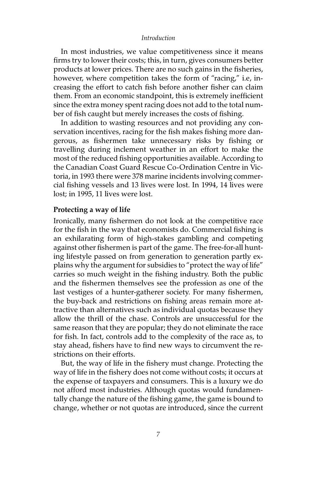In most industries, we value competitiveness since it means firms try to lower their costs; this, in turn, gives consumers better products at lower prices. There are no such gains in the fisheries, however, where competition takes the form of "racing," i.e, increasing the effort to catch fish before another fisher can claim them. From an economic standpoint, this is extremely inefficient since the extra money spent racing does not add to the total number of fish caught but merely increases the costs of fishing.

In addition to wasting resources and not providing any conservation incentives, racing for the fish makes fishing more dangerous, as fishermen take unnecessary risks by fishing or travelling during inclement weather in an effort to make the most of the reduced fishing opportunities available. According to the Canadian Coast Guard Rescue Co-Ordination Centre in Victoria, in 1993 there were 378 marine incidents involving commercial fishing vessels and 13 lives were lost. In 1994, 14 lives were lost; in 1995, 11 lives were lost.

#### **Protecting a way of life**

Ironically, many fishermen do not look at the competitive race for the fish in the way that economists do. Commercial fishing is an exhilarating form of high-stakes gambling and competing against other fishermen is part of the game. The free-for-all hunting lifestyle passed on from generation to generation partly explains why the argument for subsidies to "protect the way of life" carries so much weight in the fishing industry. Both the public and the fishermen themselves see the profession as one of the last vestiges of a hunter-gatherer society. For many fishermen, the buy-back and restrictions on fishing areas remain more attractive than alternatives such as individual quotas because they allow the thrill of the chase. Controls are unsuccessful for the same reason that they are popular; they do not eliminate the race for fish. In fact, controls add to the complexity of the race as, to stay ahead, fishers have to find new ways to circumvent the restrictions on their efforts.

But, the way of life in the fishery must change. Protecting the way of life in the fishery does not come without costs; it occurs at the expense of taxpayers and consumers. This is a luxury we do not afford most industries. Although quotas would fundamentally change the nature of the fishing game, the game is bound to change, whether or not quotas are introduced, since the current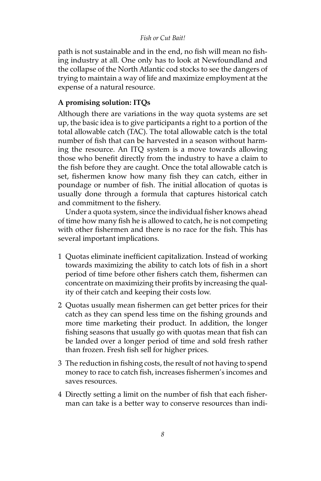path is not sustainable and in the end, no fish will mean no fishing industry at all. One only has to look at Newfoundland and the collapse of the North Atlantic cod stocks to see the dangers of trying to maintain a way of life and maximize employment at the expense of a natural resource.

# **A promising solution: ITQs**

Although there are variations in the way quota systems are set up, the basic idea is to give participants a right to a portion of the total allowable catch (TAC). The total allowable catch is the total number of fish that can be harvested in a season without harming the resource. An ITQ system is a move towards allowing those who benefit directly from the industry to have a claim to the fish before they are caught. Once the total allowable catch is set, fishermen know how many fish they can catch, either in poundage or number of fish. The initial allocation of quotas is usually done through a formula that captures historical catch and commitment to the fishery.

Under a quota system, since the individual fisher knows ahead of time how many fish he is allowed to catch, he is not competing with other fishermen and there is no race for the fish. This has several important implications.

- 1 Quotas eliminate inefficient capitalization. Instead of working towards maximizing the ability to catch lots of fish in a short period of time before other fishers catch them, fishermen can concentrate on maximizing their profits by increasing the quality of their catch and keeping their costs low.
- 2 Quotas usually mean fishermen can get better prices for their catch as they can spend less time on the fishing grounds and more time marketing their product. In addition, the longer fishing seasons that usually go with quotas mean that fish can be landed over a longer period of time and sold fresh rather than frozen. Fresh fish sell for higher prices.
- 3 The reduction in fishing costs, the result of not having to spend money to race to catch fish, increases fishermen's incomes and saves resources.
- 4 Directly setting a limit on the number of fish that each fisherman can take is a better way to conserve resources than indi-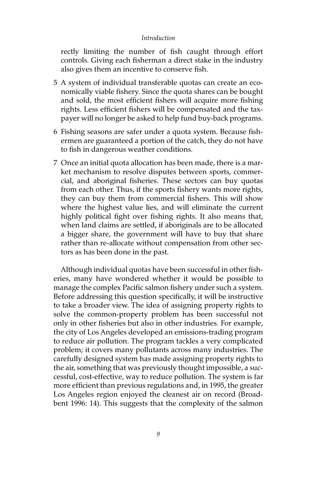rectly limiting the number of fish caught through effort controls. Giving each fisherman a direct stake in the industry also gives them an incentive to conserve fish.

- 5 A system of individual transferable quotas can create an economically viable fishery. Since the quota shares can be bought and sold, the most efficient fishers will acquire more fishing rights. Less efficient fishers will be compensated and the taxpayer will no longer be asked to help fund buy-back programs.
- 6 Fishing seasons are safer under a quota system. Because fishermen are guaranteed a portion of the catch, they do not have to fish in dangerous weather conditions.
- 7 Once an initial quota allocation has been made, there is a market mechanism to resolve disputes between sports, commercial, and aboriginal fisheries. These sectors can buy quotas from each other. Thus, if the sports fishery wants more rights, they can buy them from commercial fishers. This will show where the highest value lies, and will eliminate the current highly political fight over fishing rights. It also means that, when land claims are settled, if aboriginals are to be allocated a bigger share, the government will have to buy that share rather than re-allocate without compensation from other sectors as has been done in the past.

Although individual quotas have been successful in other fisheries, many have wondered whether it would be possible to manage the complex Pacific salmon fishery under such a system. Before addressing this question specifically, it will be instructive to take a broader view. The idea of assigning property rights to solve the common-property problem has been successful not only in other fisheries but also in other industries. For example, the city of Los Angeles developed an emissions-trading program to reduce air pollution. The program tackles a very complicated problem; it covers many pollutants across many industries. The carefully designed system has made assigning property rights to the air, something that was previously thought impossible, a successful, cost-effective, way to reduce pollution. The system is far more efficient than previous regulations and, in 1995, the greater Los Angeles region enjoyed the cleanest air on record (Broadbent 1996: 14). This suggests that the complexity of the salmon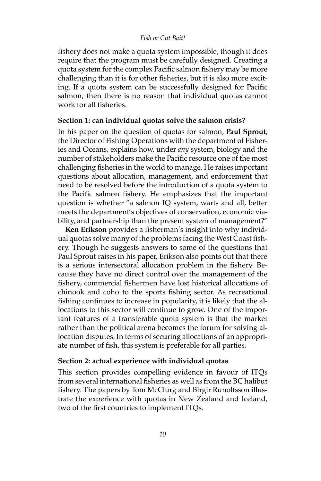fishery does not make a quota system impossible, though it does require that the program must be carefully designed. Creating a quota system for the complex Pacific salmon fishery may be more challenging than it is for other fisheries, but it is also more exciting. If a quota system can be successfully designed for Pacific salmon, then there is no reason that individual quotas cannot work for all fisheries.

## **Section 1: can individual quotas solve the salmon crisis?**

In his paper on the question of quotas for salmon, **Paul Sprout**, the Director of Fishing Operations with the department of Fisheries and Oceans, explains how, under *any* system, biology and the number of stakeholders make the Pacific resource one of the most challenging fisheries in the world to manage. He raises important questions about allocation, management, and enforcement that need to be resolved before the introduction of a quota system to the Pacific salmon fishery. He emphasizes that the important question is whether "a salmon IQ system, warts and all, better meets the department's objectives of conservation, economic viability, and partnership than the present system of management?"

**Ken Erikson** provides a fisherman's insight into why individual quotas solve many of the problems facing the West Coast fishery. Though he suggests answers to some of the questions that Paul Sprout raises in his paper, Erikson also points out that there is a serious intersectoral allocation problem in the fishery. Because they have no direct control over the management of the fishery, commercial fishermen have lost historical allocations of chinook and coho to the sports fishing sector. As recreational fishing continues to increase in popularity, it is likely that the allocations to this sector will continue to grow. One of the important features of a transferable quota system is that the market rather than the political arena becomes the forum for solving allocation disputes. In terms of securing allocations of an appropriate number of fish, this system is preferable for all parties.

## **Section 2: actual experience with individual quotas**

This section provides compelling evidence in favour of ITQs from several international fisheries as well as from the BC halibut fishery. The papers by Tom McClurg and Birgir Runolfsson illustrate the experience with quotas in New Zealand and Iceland, two of the first countries to implement ITQs.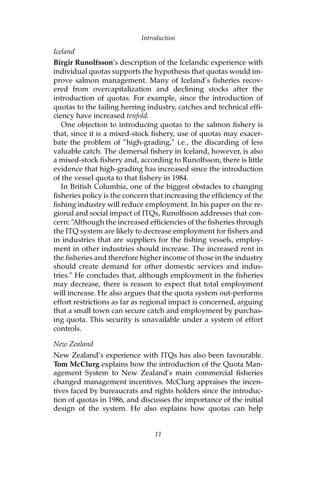#### *Iceland*

**Birgir Runolfsson**'s description of the Icelandic experience with individual quotas supports the hypothesis that quotas would improve salmon management. Many of Iceland's fisheries recovered from overcapitalization and declining stocks after the introduction of quotas. For example, since the introduction of quotas to the failing herring industry, catches and technical efficiency have increased *tenfold*.

One objection to introducing quotas to the salmon fishery is that, since it is a mixed-stock fishery, use of quotas may exacerbate the problem of "high-grading," i.e., the discarding of less valuable catch. The demersal fishery in Iceland, however, is also a mixed-stock fishery and, according to Runolfsson, there is little evidence that high-grading has increased since the introduction of the vessel quota to that fishery in 1984.

In British Columbia, one of the biggest obstacles to changing fisheries policy is the concern that increasing the efficiency of the fishing industry will reduce employment. In his paper on the regional and social impact of ITQs, Runolfsson addresses that concern: "Although the increased efficiencies of the fisheries through the ITQ system are likely to decrease employment for fishers and in industries that are suppliers for the fishing vessels, employment in other industries should increase. The increased rent in the fisheries and therefore higher income of those in the industry should create demand for other domestic services and industries." He concludes that, although employment in the fisheries may decrease, there is reason to expect that total employment will increase. He also argues that the quota system out-performs effort restrictions as far as regional impact is concerned, arguing that a small town can secure catch and employment by purchasing quota. This security is unavailable under a system of effort controls.

## *New Zealand*

New Zealand's experience with ITQs has also been favourable. **Tom McClurg** explains how the introduction of the Quota Management System to New Zealand's main commercial fisheries changed management incentives. McClurg appraises the incentives faced by bureaucrats and rights holders since the introduction of quotas in 1986, and discusses the importance of the initial design of the system. He also explains how quotas can help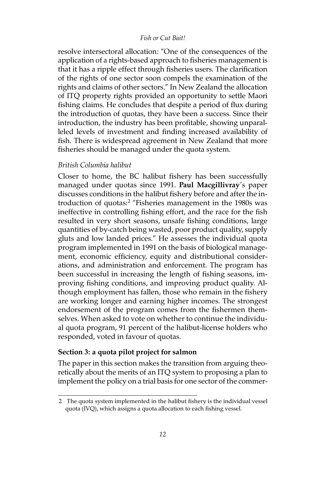resolve intersectoral allocation: "One of the consequences of the application of a rights-based approach to fisheries management is that it has a ripple effect through fisheries users. The clarification of the rights of one sector soon compels the examination of the rights and claims of other sectors." In New Zealand the allocation of ITQ property rights provided an opportunity to settle Maori fishing claims. He concludes that despite a period of flux during the introduction of quotas, they have been a success. Since their introduction, the industry has been profitable, showing unparalleled levels of investment and finding increased availability of fish. There is widespread agreement in New Zealand that more fisheries should be managed under the quota system.

## *British Columbia halibut*

Closer to home, the BC halibut fishery has been successfully managed under quotas since 1991. **Paul Macgillivray**'s paper discusses conditions in the halibut fishery before and after the introduction of quotas:<sup>2</sup> "Fisheries management in the 1980s was ineffective in controlling fishing effort, and the race for the fish resulted in very short seasons, unsafe fishing conditions, large quantities of by-catch being wasted, poor product quality, supply gluts and low landed prices." He assesses the individual quota program implemented in 1991 on the basis of biological management, economic efficiency, equity and distributional considerations, and administration and enforcement. The program has been successful in increasing the length of fishing seasons, improving fishing conditions, and improving product quality. Although employment has fallen, those who remain in the fishery are working longer and earning higher incomes. The strongest endorsement of the program comes from the fishermen themselves. When asked to vote on whether to continue the individual quota program, 91 percent of the halibut-license holders who responded, voted in favour of quotas.

# **Section 3: a quota pilot project for salmon**

The paper in this section makes the transition from arguing theoretically about the merits of an ITQ system to proposing a plan to implement the policy on a trial basis for one sector of the commer-

<sup>2</sup> The quota system implemented in the halibut fishery is the individual vessel quota (IVQ), which assigns a quota allocation to each fishing vessel.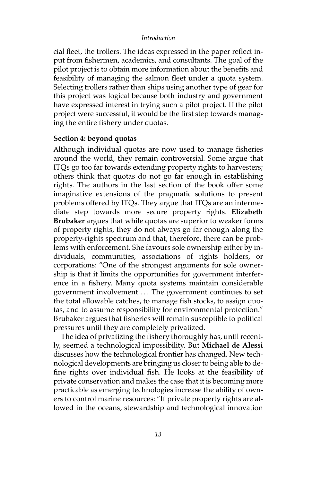cial fleet, the trollers. The ideas expressed in the paper reflect input from fishermen, academics, and consultants. The goal of the pilot project is to obtain more information about the benefits and feasibility of managing the salmon fleet under a quota system. Selecting trollers rather than ships using another type of gear for this project was logical because both industry and government have expressed interest in trying such a pilot project. If the pilot project were successful, it would be the first step towards managing the entire fishery under quotas.

## **Section 4: beyond quotas**

Although individual quotas are now used to manage fisheries around the world, they remain controversial. Some argue that ITQs go too far towards extending property rights to harvesters; others think that quotas do not go far enough in establishing rights. The authors in the last section of the book offer some imaginative extensions of the pragmatic solutions to present problems offered by ITQs. They argue that ITQs are an intermediate step towards more secure property rights. **Elizabeth Brubaker** argues that while quotas are superior to weaker forms of property rights, they do not always go far enough along the property-rights spectrum and that, therefore, there can be problems with enforcement. She favours sole ownership either by individuals, communities, associations of rights holders, or corporations: "One of the strongest arguments for sole ownership is that it limits the opportunities for government interference in a fishery. Many quota systems maintain considerable government involvement . . . The government continues to set the total allowable catches, to manage fish stocks, to assign quotas, and to assume responsibility for environmental protection." Brubaker argues that fisheries will remain susceptible to political pressures until they are completely privatized.

The idea of privatizing the fishery thoroughly has, until recently, seemed a technological impossibility. But **Michael de Alessi** discusses how the technological frontier has changed. New technological developments are bringing us closer to being able to define rights over individual fish. He looks at the feasibility of private conservation and makes the case that it is becoming more practicable as emerging technologies increase the ability of owners to control marine resources: "If private property rights are allowed in the oceans, stewardship and technological innovation